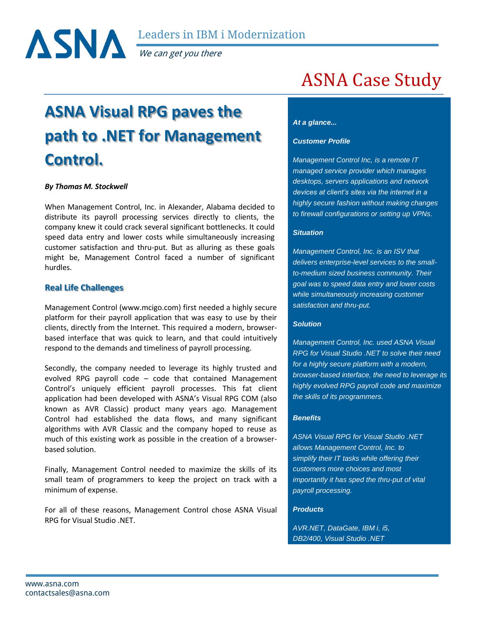

We can get you there

# **ASNA Visual RPG paves the path to .NET for Management Control.**

## *By Thomas M. Stockwell*

When Management Control, Inc. in Alexander, Alabama decided to distribute its payroll processing services directly to clients, the company knew it could crack several significant bottlenecks. It could speed data entry and lower costs while simultaneously increasing customer satisfaction and thru-put. But as alluring as these goals might be, Management Control faced a number of significant hurdles.

# **Real Life Challenges**

Management Control (www.mcigo.com) first needed a highly secure platform for their payroll application that was easy to use by their clients, directly from the Internet. This required a modern, browserbased interface that was quick to learn, and that could intuitively respond to the demands and timeliness of payroll processing.

Secondly, the company needed to leverage its highly trusted and evolved RPG payroll code – code that contained Management Control's uniquely efficient payroll processes. This fat client application had been developed with ASNA's Visual RPG COM (also known as AVR Classic) product many years ago. Management Control had established the data flows, and many significant algorithms with AVR Classic and the company hoped to reuse as much of this existing work as possible in the creation of a browserbased solution.

Finally, Management Control needed to maximize the skills of its small team of programmers to keep the project on track with a minimum of expense.

For all of these reasons, Management Control chose ASNA Visual RPG for Visual Studio .NET.

# ASNA Case Study

#### *At a glance...*

#### *Customer Profile*

*Management Control Inc, is a remote IT managed service provider which manages desktops, servers applications and network devices at client's sites via the internet in a highly secure fashion without making changes to firewall configurations or setting up VPNs.* 

## *Situation*

*Management Control, Inc. is an ISV that delivers enterprise-level services to the smallto-medium sized business community. Their goal was to speed data entry and lower costs while simultaneously increasing customer satisfaction and thru-put.*

## *Solution*

*Management Control, Inc. used ASNA Visual RPG for Visual Studio .NET to solve their need for a highly secure platform with a modern, browser-based interface, the need to leverage its highly evolved RPG payroll code and maximize the skills of its programmers.*

## *Benefits*

*ASNA Visual RPG for Visual Studio .NET allows Management Control, Inc. to simplify their IT tasks while offering their customers more choices and most importantly it has sped the thru-put of vital payroll processing.*

## *Products*

*AVR.NET, DataGate, IBM i, i5, DB2/400, Visual Studio .NET*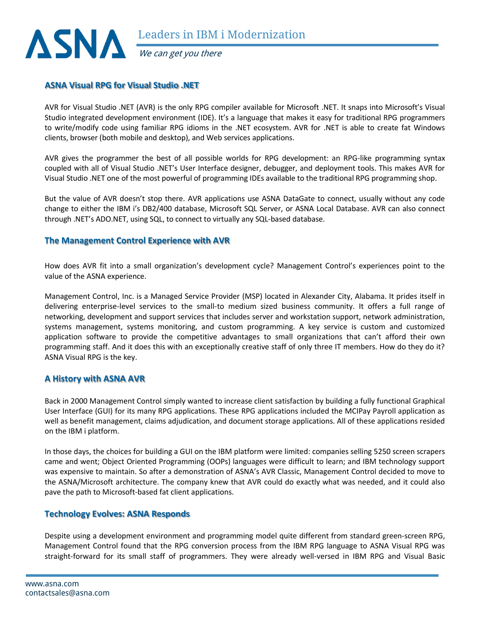

# **ASNA Visual RPG for Visual Studio .NET**

AVR for Visual Studio .NET (AVR) is the only RPG compiler available for Microsoft .NET. It snaps into Microsoft's Visual Studio integrated development environment (IDE). It's a language that makes it easy for traditional RPG programmers to write/modify code using familiar RPG idioms in the .NET ecosystem. AVR for .NET is able to create fat Windows clients, browser (both mobile and desktop), and Web services applications.

AVR gives the programmer the best of all possible worlds for RPG development: an RPG-like programming syntax coupled with all of Visual Studio .NET's User Interface designer, debugger, and deployment tools. This makes AVR for Visual Studio .NET one of the most powerful of programming IDEs available to the traditional RPG programming shop.

But the value of AVR doesn't stop there. AVR applications use ASNA DataGate to connect, usually without any code change to either the IBM i's DB2/400 database, Microsoft SQL Server, or ASNA Local Database. AVR can also connect through .NET's ADO.NET, using SQL, to connect to virtually any SQL-based database.

# **The Management Control Experience with AVR**

How does AVR fit into a small organization's development cycle? Management Control's experiences point to the value of the ASNA experience.

Management Control, Inc. is a Managed Service Provider (MSP) located in Alexander City, Alabama. It prides itself in delivering enterprise-level services to the small-to medium sized business community. It offers a full range of networking, development and support services that includes server and workstation support, network administration, systems management, systems monitoring, and custom programming. A key service is custom and customized application software to provide the competitive advantages to small organizations that can't afford their own programming staff. And it does this with an exceptionally creative staff of only three IT members. How do they do it? ASNA Visual RPG is the key.

# **A History with ASNA AVR**

Back in 2000 Management Control simply wanted to increase client satisfaction by building a fully functional Graphical User Interface (GUI) for its many RPG applications. These RPG applications included the MCIPay Payroll application as well as benefit management, claims adjudication, and document storage applications. All of these applications resided on the IBM i platform.

In those days, the choices for building a GUI on the IBM platform were limited: companies selling 5250 screen scrapers came and went; Object Oriented Programming (OOPs) languages were difficult to learn; and IBM technology support was expensive to maintain. So after a demonstration of ASNA's AVR Classic, Management Control decided to move to the ASNA/Microsoft architecture. The company knew that AVR could do exactly what was needed, and it could also pave the path to Microsoft-based fat client applications.

# **Technology Evolves: ASNA Responds**

Despite using a development environment and programming model quite different from standard green-screen RPG, Management Control found that the RPG conversion process from the IBM RPG language to ASNA Visual RPG was straight-forward for its small staff of programmers. They were already well-versed in IBM RPG and Visual Basic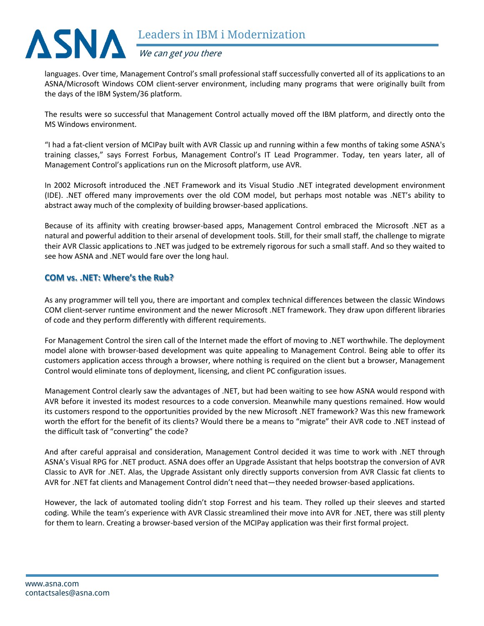

languages. Over time, Management Control's small professional staff successfully converted all of its applications to an ASNA/Microsoft Windows COM client-server environment, including many programs that were originally built from the days of the IBM System/36 platform.

The results were so successful that Management Control actually moved off the IBM platform, and directly onto the MS Windows environment.

"I had a fat-client version of MCIPay built with AVR Classic up and running within a few months of taking some ASNA's training classes," says Forrest Forbus, Management Control's IT Lead Programmer. Today, ten years later, all of Management Control's applications run on the Microsoft platform, use AVR.

In 2002 Microsoft introduced the .NET Framework and its Visual Studio .NET integrated development environment (IDE). .NET offered many improvements over the old COM model, but perhaps most notable was .NET's ability to abstract away much of the complexity of building browser-based applications.

Because of its affinity with creating browser-based apps, Management Control embraced the Microsoft .NET as a natural and powerful addition to their arsenal of development tools. Still, for their small staff, the challenge to migrate their AVR Classic applications to .NET was judged to be extremely rigorous for such a small staff. And so they waited to see how ASNA and .NET would fare over the long haul.

# **COM vs. .NET: Where's the Rub?**

As any programmer will tell you, there are important and complex technical differences between the classic Windows COM client-server runtime environment and the newer Microsoft .NET framework. They draw upon different libraries of code and they perform differently with different requirements.

For Management Control the siren call of the Internet made the effort of moving to .NET worthwhile. The deployment model alone with browser-based development was quite appealing to Management Control. Being able to offer its customers application access through a browser, where nothing is required on the client but a browser, Management Control would eliminate tons of deployment, licensing, and client PC configuration issues.

Management Control clearly saw the advantages of .NET, but had been waiting to see how ASNA would respond with AVR before it invested its modest resources to a code conversion. Meanwhile many questions remained. How would its customers respond to the opportunities provided by the new Microsoft .NET framework? Was this new framework worth the effort for the benefit of its clients? Would there be a means to "migrate" their AVR code to .NET instead of the difficult task of "converting" the code?

And after careful appraisal and consideration, Management Control decided it was time to work with .NET through ASNA's Visual RPG for .NET product. ASNA does offer an Upgrade Assistant that helps bootstrap the conversion of AVR Classic to AVR for .NET. Alas, the Upgrade Assistant only directly supports conversion from AVR Classic fat clients to AVR for .NET fat clients and Management Control didn't need that—they needed browser-based applications.

However, the lack of automated tooling didn't stop Forrest and his team. They rolled up their sleeves and started coding. While the team's experience with AVR Classic streamlined their move into AVR for .NET, there was still plenty for them to learn. Creating a browser-based version of the MCIPay application was their first formal project.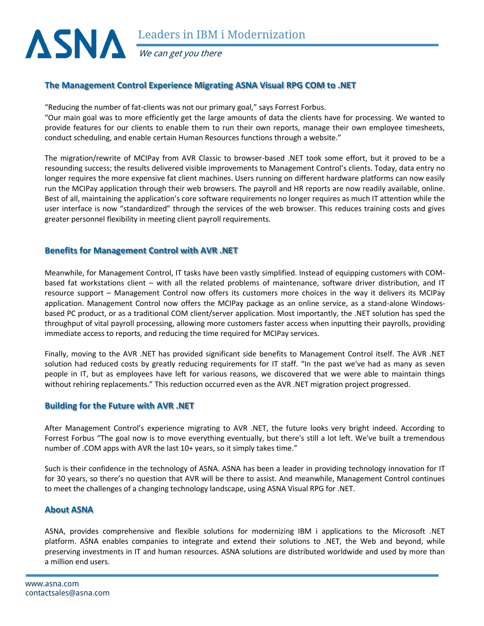

We can get you there

# **The Management Control Experience Migrating ASNA Visual RPG COM to .NET**

"Reducing the number of fat-clients was not our primary goal," says Forrest Forbus.

"Our main goal was to more efficiently get the large amounts of data the clients have for processing. We wanted to provide features for our clients to enable them to run their own reports, manage their own employee timesheets, conduct scheduling, and enable certain Human Resources functions through a website."

The migration/rewrite of MCIPay from AVR Classic to browser-based .NET took some effort, but it proved to be a resounding success; the results delivered visible improvements to Management Control's clients. Today, data entry no longer requires the more expensive fat client machines. Users running on different hardware platforms can now easily run the MCIPay application through their web browsers. The payroll and HR reports are now readily available, online. Best of all, maintaining the application's core software requirements no longer requires as much IT attention while the user interface is now "standardized" through the services of the web browser. This reduces training costs and gives greater personnel flexibility in meeting client payroll requirements.

# **Benefits for Management Control with AVR .NET**

Meanwhile, for Management Control, IT tasks have been vastly simplified. Instead of equipping customers with COMbased fat workstations client – with all the related problems of maintenance, software driver distribution, and IT resource support – Management Control now offers its customers more choices in the way it delivers its MCIPay application. Management Control now offers the MCIPay package as an online service, as a stand-alone Windowsbased PC product, or as a traditional COM client/server application. Most importantly, the .NET solution has sped the throughput of vital payroll processing, allowing more customers faster access when inputting their payrolls, providing immediate access to reports, and reducing the time required for MCIPay services.

Finally, moving to the AVR .NET has provided significant side benefits to Management Control itself. The AVR .NET solution had reduced costs by greatly reducing requirements for IT staff. "In the past we've had as many as seven people in IT, but as employees have left for various reasons, we discovered that we were able to maintain things without rehiring replacements." This reduction occurred even as the AVR .NET migration project progressed.

# **Building for the Future with AVR .NET**

After Management Control's experience migrating to AVR .NET, the future looks very bright indeed. According to Forrest Forbus "The goal now is to move everything eventually, but there's still a lot left. We've built a tremendous number of .COM apps with AVR the last 10+ years, so it simply takes time."

Such is their confidence in the technology of ASNA. ASNA has been a leader in providing technology innovation for IT for 30 years, so there's no question that AVR will be there to assist. And meanwhile, Management Control continues to meet the challenges of a changing technology landscape, using ASNA Visual RPG for .NET.

# **About ASNA**

ASNA, provides comprehensive and flexible solutions for modernizing IBM i applications to the Microsoft .NET platform. ASNA enables companies to integrate and extend their solutions to .NET, the Web and beyond, while preserving investments in IT and human resources. ASNA solutions are distributed worldwide and used by more than a million end users.